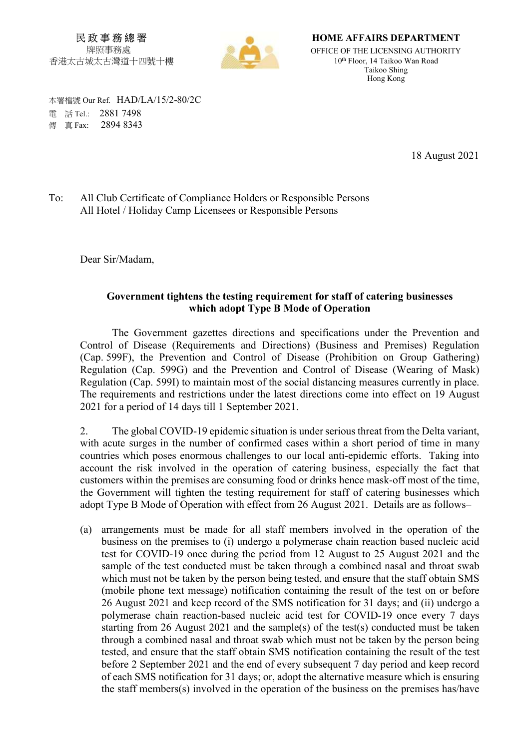民 政 事 務 總 署 牌照事務處 香港太古城太古灣道十四號十樓



HOME AFFAIRS DEPARTMENT OFFICE OF THE LICENSING AUTHORITY 10th Floor, 14 Taikoo Wan Road Taikoo Shing Hong Kong

 本署檔號 Our Ref. HAD/LA/15/2-80/2C 電 話 Tel.: 2881 7498 **傳 直 Fax: 2894 8343** 

18 August 2021

To: All Club Certificate of Compliance Holders or Responsible Persons All Hotel / Holiday Camp Licensees or Responsible Persons

Dear Sir/Madam,

## Government tightens the testing requirement for staff of catering businesses which adopt Type B Mode of Operation

 The Government gazettes directions and specifications under the Prevention and Control of Disease (Requirements and Directions) (Business and Premises) Regulation (Cap. 599F), the Prevention and Control of Disease (Prohibition on Group Gathering) Regulation (Cap. 599G) and the Prevention and Control of Disease (Wearing of Mask) Regulation (Cap. 599I) to maintain most of the social distancing measures currently in place. The requirements and restrictions under the latest directions come into effect on 19 August 2021 for a period of 14 days till 1 September 2021.

2. The global COVID-19 epidemic situation is under serious threat from the Delta variant, with acute surges in the number of confirmed cases within a short period of time in many countries which poses enormous challenges to our local anti-epidemic efforts. Taking into account the risk involved in the operation of catering business, especially the fact that customers within the premises are consuming food or drinks hence mask-off most of the time, the Government will tighten the testing requirement for staff of catering businesses which adopt Type B Mode of Operation with effect from 26 August 2021. Details are as follows–

(a) arrangements must be made for all staff members involved in the operation of the business on the premises to (i) undergo a polymerase chain reaction based nucleic acid test for COVID-19 once during the period from 12 August to 25 August 2021 and the sample of the test conducted must be taken through a combined nasal and throat swab which must not be taken by the person being tested, and ensure that the staff obtain SMS (mobile phone text message) notification containing the result of the test on or before 26 August 2021 and keep record of the SMS notification for 31 days; and (ii) undergo a polymerase chain reaction-based nucleic acid test for COVID-19 once every 7 days starting from 26 August 2021 and the sample(s) of the test(s) conducted must be taken through a combined nasal and throat swab which must not be taken by the person being tested, and ensure that the staff obtain SMS notification containing the result of the test before 2 September 2021 and the end of every subsequent 7 day period and keep record of each SMS notification for 31 days; or, adopt the alternative measure which is ensuring the staff members(s) involved in the operation of the business on the premises has/have